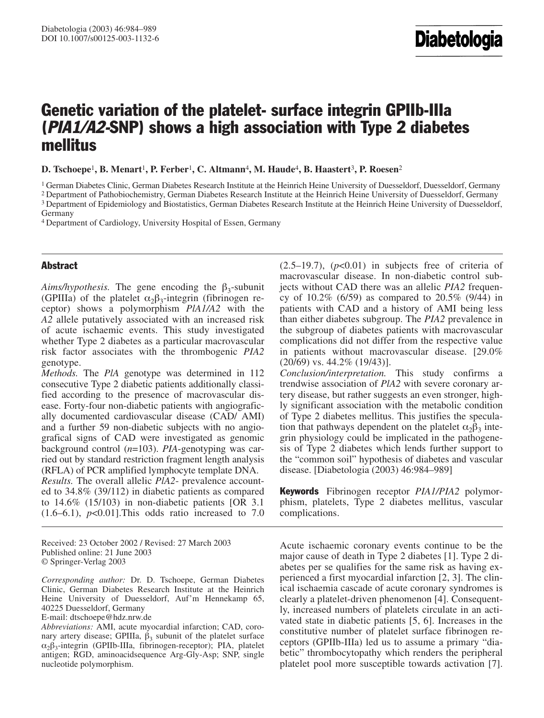# Genetic variation of the platelet- surface integrin GPIIb-IIIa (PIA1/A2-SNP) shows a high association with Type 2 diabetes mellitus

**D. Tschoepe**<sup>1</sup>**, B. Menart**<sup>1</sup>**, P. Ferber**<sup>1</sup>**, C. Altmann**<sup>4</sup>**, M. Haude**<sup>4</sup>**, B. Haastert**<sup>3</sup>**, P. Roesen**<sup>2</sup>

<sup>1</sup> German Diabetes Clinic, German Diabetes Research Institute at the Heinrich Heine University of Duesseldorf, Duesseldorf, Germany

2 Department of Pathobiochemistry, German Diabetes Research Institute at the Heinrich Heine University of Duesseldorf, Germany 3 Department of Epidemiology and Biostatistics, German Diabetes Research Institute at the Heinrich Heine University of Duesseldorf,

4 Department of Cardiology, University Hospital of Essen, Germany

## Abstract

 $Aims/hypothesis$ . The gene encoding the  $\beta_3$ -subunit (GPIIIa) of the platelet  $\alpha_2\beta_3$ -integrin (fibrinogen receptor) shows a polymorphism *PlA1/A2* with the *A2* allele putatively associated with an increased risk of acute ischaemic events. This study investigated whether Type 2 diabetes as a particular macrovascular risk factor associates with the thrombogenic *PIA2* genotype.

*Methods.* The *PlA* genotype was determined in 112 consecutive Type 2 diabetic patients additionally classified according to the presence of macrovascular disease. Forty-four non-diabetic patients with angiografically documented cardiovascular disease (CAD/ AMI) and a further 59 non-diabetic subjects with no angiografical signs of CAD were investigated as genomic background control (*n*=103). *PIA*-genotyping was carried out by standard restriction fragment length analysis (RFLA) of PCR amplified lymphocyte template DNA. *Results.* The overall allelic *PlA2*- prevalence accounted to 34.8% (39/112) in diabetic patients as compared to 14.6% (15/103) in non-diabetic patients [OR 3.1  $(1.6–6.1)$ ,  $p<0.01$ ]. This odds ratio increased to 7.0

Received: 23 October 2002 / Revised: 27 March 2003 Published online: 21 June 2003 © Springer-Verlag 2003

*Corresponding author:* Dr. D. Tschoepe, German Diabetes Clinic, German Diabetes Research Institute at the Heinrich Heine University of Duesseldorf, Auf'm Hennekamp 65, 40225 Duesseldorf, Germany

E-mail: dtschoepe@hdz.nrw.de

*Abbreviations:* AMI, acute myocardial infarction; CAD, coronary artery disease; GPIIIa,  $\beta_3$  subunit of the platelet surface  $\alpha_2\beta_3$ -integrin (GPIIb-IIIa, fibrinogen-receptor); PIA, platelet antigen; RGD, aminoacidsequence Arg-Gly-Asp; SNP, single nucleotide polymorphism.

 $(2.5-19.7)$ ,  $(p<0.01)$  in subjects free of criteria of macrovascular disease. In non-diabetic control subjects without CAD there was an allelic *PIA2* frequency of 10.2% (6/59) as compared to 20.5% (9/44) in patients with CAD and a history of AMI being less than either diabetes subgroup. The *PIA2* prevalence in the subgroup of diabetes patients with macrovascular complications did not differ from the respective value in patients without macrovascular disease. [29.0%  $(20/69)$  vs. 44.2\%  $(19/43)$ ].

*Conclusion/interpretation.* This study confirms a trendwise association of *PlA2* with severe coronary artery disease, but rather suggests an even stronger, highly significant association with the metabolic condition of Type 2 diabetes mellitus. This justifies the speculation that pathways dependent on the platelet  $\alpha_2\beta_3$  integrin physiology could be implicated in the pathogenesis of Type 2 diabetes which lends further support to the "common soil" hypothesis of diabetes and vascular disease. [Diabetologia (2003) 46:984–989]

Keywords Fibrinogen receptor *PIA1/PIA2* polymorphism, platelets, Type 2 diabetes mellitus, vascular complications.

Acute ischaemic coronary events continue to be the major cause of death in Type 2 diabetes [1]. Type 2 diabetes per se qualifies for the same risk as having experienced a first myocardial infarction [2, 3]. The clinical ischaemia cascade of acute coronary syndromes is clearly a platelet-driven phenomenon [4]. Consequently, increased numbers of platelets circulate in an activated state in diabetic patients [5, 6]. Increases in the constitutive number of platelet surface fibrinogen receptors (GPIIb-IIIa) led us to assume a primary "diabetic" thrombocytopathy which renders the peripheral platelet pool more susceptible towards activation [7].

Germany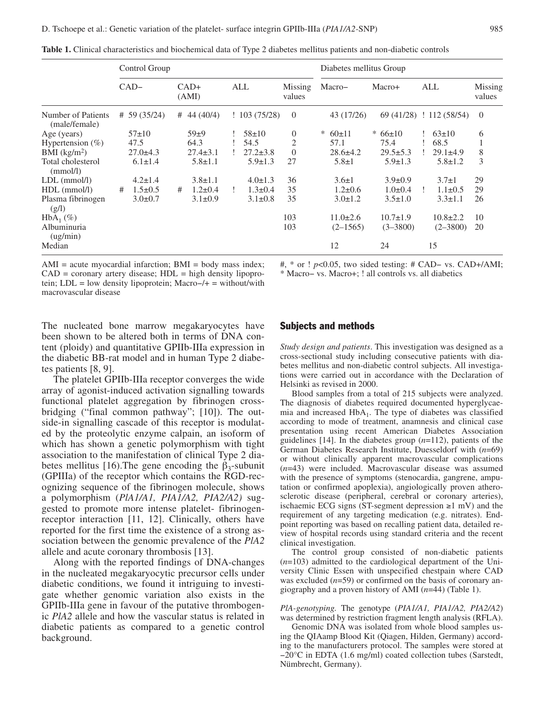|                                     | Control Group |                |   |                 |  |                           |                   | Diabetes mellitus Group |                |               |                |     |                          |                   |
|-------------------------------------|---------------|----------------|---|-----------------|--|---------------------------|-------------------|-------------------------|----------------|---------------|----------------|-----|--------------------------|-------------------|
|                                     |               | $CAD-$         |   | $CAD+$<br>(AMI) |  | ALL                       | Missing<br>values | Macro-                  |                | Macro+        |                | ALL |                          | Missing<br>values |
| Number of Patients<br>(male/female) |               | # 59 (35/24)   | # | 44 (40/4)       |  | $\frac{1}{2}$ 103 (75/28) | $\overline{0}$    |                         | 43 (17/26)     |               |                |     | 69 (41/28) ! 112 (58/54) | $\Omega$          |
| Age (years)                         |               | $57\pm10$      |   | $59+9$          |  | $58 \pm 10$               | $\theta$          | ∗                       | 60±11          | $* 66 \pm 10$ |                |     | $: 63 \pm 10$            | 6                 |
| Hypertension $(\%)$                 | 47.5          |                |   | 64.3            |  | 54.5                      | 2                 |                         | 57.1           | 75.4          |                |     | 68.5                     |                   |
| $BMI$ (kg/m <sup>2</sup> )          |               | $27.0 \pm 4.3$ |   | $27.4 \pm 3.1$  |  | $27.2 \pm 3.8$            | $\theta$          |                         | $28.6 \pm 4.2$ |               | $29.5 \pm 5.3$ |     | $29.1 \pm 4.9$           | 8                 |
| Total cholesterol<br>(mmol/l)       |               | $6.1 \pm 1.4$  |   | $5.8 \pm 1.1$   |  | $5.9 \pm 1.3$             | 27                |                         | $5.8 \pm 1$    |               | $5.9 \pm 1.3$  |     | $5.8 \pm 1.2$            | 3                 |
| $LDL$ (mmol/l)                      |               | $4.2 \pm 1.4$  |   | $3.8 \pm 1.1$   |  | $4.0 \pm 1.3$             | 36                |                         | $3.6 \pm 1$    |               | $3.9 \pm 0.9$  |     | $3.7 \pm 1$              | 29                |
| $HDL$ (mmol/l)                      | #             | $1.5 \pm 0.5$  | # | $1.2 \pm 0.4$   |  | $1.3 \pm 0.4$             | 35                |                         | $1.2 \pm 0.6$  |               | $1.0\pm0.4$    |     | $1.1 \pm 0.5$            | 29                |
| Plasma fibrinogen<br>(g/l)          |               | $3.0 \pm 0.7$  |   | $3.1 \pm 0.9$   |  | $3.1 \pm 0.8$             | 35                |                         | $3.0 \pm 1.2$  |               | $3.5 \pm 1.0$  |     | $3.3 \pm 1.1$            | 26                |
| $HbA_1(\%)$                         |               |                |   |                 |  |                           | 103               |                         | $11.0 \pm 2.6$ |               | $10.7 \pm 1.9$ |     | $10.8 \pm 2.2$           | 10                |
| Albuminuria<br>(ug/min)             |               |                |   |                 |  |                           | 103               |                         | $(2 - 1565)$   |               | $(3 - 3800)$   |     | $(2 - 3800)$             | 20                |
| Median                              |               |                |   |                 |  |                           |                   |                         | 12             | 24            |                |     | 15                       |                   |

**Table 1.** Clinical characteristics and biochemical data of Type 2 diabetes mellitus patients and non-diabetic controls

 $AMI = acute$  myocardial infarction;  $BMI = body$  mass index;  $CAD = \text{coronary artery disease}$ ;  $HDL = \text{high density lipopro-}$ tein; LDL = low density lipoprotein; Macro−/+ = without/with macrovascular disease

#, \* or ! *p*<0.05, two sided testing: # CAD− vs. CAD+/AMI;

\* Macro− vs. Macro+; ! all controls vs. all diabetics

The nucleated bone marrow megakaryocytes have been shown to be altered both in terms of DNA content (ploidy) and quantitative GPIIb-IIIa expression in the diabetic BB-rat model and in human Type 2 diabetes patients [8, 9].

The platelet GPIIb-IIIa receptor converges the wide array of agonist-induced activation signalling towards functional platelet aggregation by fibrinogen crossbridging ("final common pathway"; [10]). The outside-in signalling cascade of this receptor is modulated by the proteolytic enzyme calpain, an isoform of which has shown a genetic polymorphism with tight association to the manifestation of clinical Type 2 diabetes mellitus [16). The gene encoding the  $\beta_3$ -subunit (GPIIIa) of the receptor which contains the RGD-recognizing sequence of the fibrinogen molecule, shows a polymorphism (*PlA1/A1, PIA1/A2, PIA2/A2)* suggested to promote more intense platelet- fibrinogenreceptor interaction [11, 12]. Clinically, others have reported for the first time the existence of a strong association between the genomic prevalence of the *PlA2* allele and acute coronary thrombosis [13].

Along with the reported findings of DNA-changes in the nucleated megakaryocytic precursor cells under diabetic conditions, we found it intriguing to investigate whether genomic variation also exists in the GPIIb-IIIa gene in favour of the putative thrombogenic *PlA2* allele and how the vascular status is related in diabetic patients as compared to a genetic control background.

#### Subjects and methods

*Study design and patients*. This investigation was designed as a cross-sectional study including consecutive patients with diabetes mellitus and non-diabetic control subjects. All investigations were carried out in accordance with the Declaration of Helsinki as revised in 2000.

Blood samples from a total of 215 subjects were analyzed. The diagnosis of diabetes required documented hyperglycaemia and increased  $HbA_1$ . The type of diabetes was classified according to mode of treatment, anamnesis and clinical case presentation using recent American Diabetes Association guidelines [14]. In the diabetes group (*n*=112), patients of the German Diabetes Research Institute, Duesseldorf with (*n*=69) or without clinically apparent macrovascular complications (*n*=43) were included. Macrovascular disease was assumed with the presence of symptoms (stenocardia, gangrene, amputation or confirmed apoplexia), angiologically proven atherosclerotic disease (peripheral, cerebral or coronary arteries), ischaemic ECG signs (ST-segment depression ≥1 mV) and the requirement of any targeting medication (e.g. nitrates). Endpoint reporting was based on recalling patient data, detailed review of hospital records using standard criteria and the recent clinical investigation.

The control group consisted of non-diabetic patients (*n*=103) admitted to the cardiological department of the University Clinic Essen with unspecified chestpain where CAD was excluded ( $n=59$ ) or confirmed on the basis of coronary angiography and a proven history of AMI (*n*=44) (Table 1).

*PlA-genotyping.* The genotype (*PIA1/A1, PIA1/A2, PIA2/A2*) was determined by restriction fragment length analysis (RFLA).

Genomic DNA was isolated from whole blood samples using the QIAamp Blood Kit (Qiagen, Hilden, Germany) according to the manufacturers protocol. The samples were stored at −20°C in EDTA (1.6 mg/ml) coated collection tubes (Sarstedt, Nümbrecht, Germany).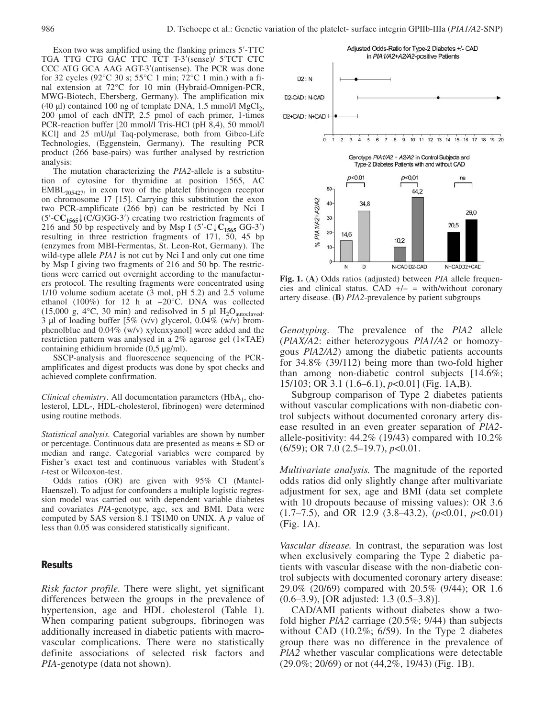Exon two was amplified using the flanking primers 5′-TTC TGA TTG CTG GAC TTC TCT T-3′(sense)/ 5′TCT CTC CCC ATG GCA AAG AGT-3′(antisense). The PCR was done for 32 cycles (92°C 30 s; 55°C 1 min; 72°C 1 min.) with a final extension at 72°C for 10 min (Hybraid-Omnigen-PCR, MWG-Biotech, Ebersberg, Germany). The amplification mix (40 µl) contained 100 ng of template DNA, 1.5 mmol/l MgCl<sub>2</sub>, 200 µmol of each dNTP, 2.5 pmol of each primer, 1-times PCR-reaction buffer [20 mmol/l Tris-HCl (pH 8,4), 50 mmol/l KCl] and 25 mU/µl Taq-polymerase, both from Gibco-Life Technologies, (Eggenstein, Germany). The resulting PCR product (266 base-pairs) was further analysed by restriction analysis:

The mutation characterizing the *PIA2*-allele is a substitution of cytosine for thymidine at position 1565, AC  $EMBL<sub>J05427</sub>$ , in exon two of the platelet fibrinogen receptor on chromosome 17 [15]. Carrying this substitution the exon two PCR-amplificate (266 bp) can be restricted by Nci I (5′-C**C1565**↓(C/G)GG-3′) creating two restriction fragments of 216 and 50 bp respectively and by Msp I  $(5'-C\sqrt{C_{1565} \text{ GG-3}})$ resulting in three restriction fragments of 171, 50, 45 bp (enzymes from MBI-Fermentas, St. Leon-Rot, Germany). The wild-type allele *PIA1* is not cut by Nci I and only cut one time by Msp I giving two fragments of 216 and 50 bp. The restrictions were carried out overnight according to the manufacturers protocol. The resulting fragments were concentrated using 1/10 volume sodium acetate (3 mol, pH 5.2) and 2.5 volume ethanol (100%) for 12 h at −20°C. DNA was collected (15,000 g, 4 $\degree$ C, 30 min) and redisolved in 5 µl H<sub>2</sub>O<sub>autoclaved</sub>. 3 µl of loading buffer [5% (v/v) glycerol, 0.04% (w/v) bromphenolblue and 0.04% (w/v) xylenxyanol] were added and the restriction pattern was analysed in a 2% agarose gel (1×TAE) containing ethidium bromide (0,5 µg/ml).

SSCP-analysis and fluorescence sequencing of the PCRamplificates and digest products was done by spot checks and achieved complete confirmation.

*Clinical chemistry*. All documentation parameters (HbA<sub>1</sub>, cholesterol, LDL-, HDL-cholesterol, fibrinogen) were determined using routine methods.

*Statistical analysis.* Categorial variables are shown by number or percentage. Continuous data are presented as means ± SD or median and range. Categorial variables were compared by Fisher's exact test and continuous variables with Student's *t*-test or Wilcoxon-test.

Odds ratios (OR) are given with 95% CI (Mantel-Haenszel). To adjust for confounders a multiple logistic regression model was carried out with dependent variable diabetes and covariates *PIA*-genotype, age, sex and BMI. Data were computed by SAS version 8.1 TS1M0 on UNIX. A *p* value of less than 0.05 was considered statistically significant.

## Results

*Risk factor profile.* There were slight, yet significant differences between the groups in the prevalence of hypertension, age and HDL cholesterol (Table 1). When comparing patient subgroups, fibrinogen was additionally increased in diabetic patients with macrovascular complications. There were no statistically definite associations of selected risk factors and *PIA*-genotype (data not shown).



**Fig. 1.** (**A**) Odds ratios (adjusted) between *PIA* allele frequencies and clinical status. CAD  $+/-$  = with/without coronary artery disease. (**B**) *PIA2*-prevalence by patient subgroups

*Genotyping.* The prevalence of the *PlA2* allele (*PlAX/A2*: either heterozygous *PlA1/A2* or homozygous *PlA2/A2*) among the diabetic patients accounts for 34.8% (39/112) being more than two-fold higher than among non-diabetic control subjects [14.6%; 15/103; OR 3.1 (1.6–6.1), *p*<0.01] (Fig. 1A,B).

Subgroup comparison of Type 2 diabetes patients without vascular complications with non-diabetic control subjects without documented coronary artery disease resulted in an even greater separation of *PlA2* allele-positivity: 44.2% (19/43) compared with 10.2% (6/59); OR 7.0 (2.5–19.7), *p*<0.01.

*Multivariate analysis.* The magnitude of the reported odds ratios did only slightly change after multivariate adjustment for sex, age and BMI (data set complete with 10 dropouts because of missing values): OR 3.6 (1.7–7.5), and OR 12.9 (3.8–43.2), (*p*<0.01, *p*<0.01) (Fig. 1A).

*Vascular disease.* In contrast, the separation was lost when exclusively comparing the Type 2 diabetic patients with vascular disease with the non-diabetic control subjects with documented coronary artery disease: 29.0% (20/69) compared with 20.5% (9/44); OR 1.6 (0.6–3.9), [OR adjusted: 1.3 (0.5–3.8)].

CAD/AMI patients without diabetes show a twofold higher *PlA2* carriage (20.5%; 9/44) than subjects without CAD (10.2%; 6/59). In the Type 2 diabetes group there was no difference in the prevalence of *PlA2* whether vascular complications were detectable  $(29.0\%; 20/69)$  or not  $(44,2\%, 19/43)$  (Fig. 1B).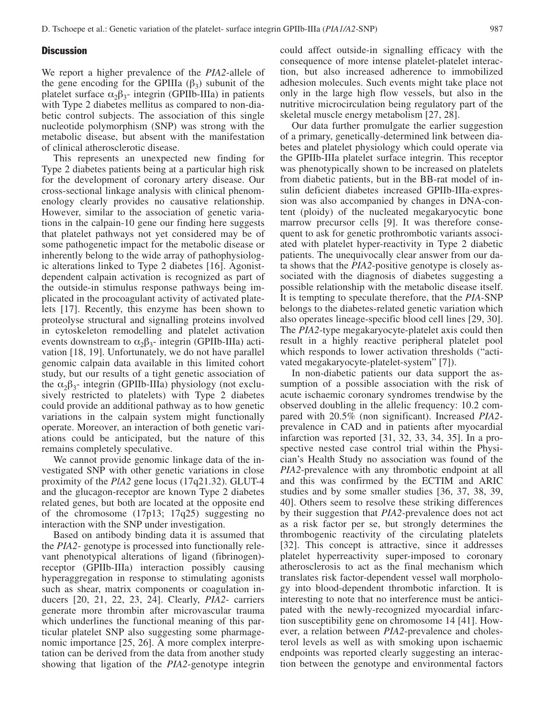## **Discussion**

We report a higher prevalence of the *PIA2*-allele of the gene encoding for the GPIIIa  $(\beta_3)$  subunit of the platelet surface  $\alpha_2\beta_3$ - integrin (GPIIb-IIIa) in patients with Type 2 diabetes mellitus as compared to non-diabetic control subjects. The association of this single nucleotide polymorphism (SNP) was strong with the metabolic disease, but absent with the manifestation of clinical atherosclerotic disease.

This represents an unexpected new finding for Type 2 diabetes patients being at a particular high risk for the development of coronary artery disease. Our cross-sectional linkage analysis with clinical phenomenology clearly provides no causative relationship. However, similar to the association of genetic variations in the calpain-10 gene our finding here suggests that platelet pathways not yet considered may be of some pathogenetic impact for the metabolic disease or inherently belong to the wide array of pathophysiologic alterations linked to Type 2 diabetes [16]. Agonistdependent calpain activation is recognized as part of the outside-in stimulus response pathways being implicated in the procoagulant activity of activated platelets [17]. Recently, this enzyme has been shown to proteolyse structural and signalling proteins involved in cytoskeleton remodelling and platelet activation events downstream to  $\alpha_2\beta_3$ - integrin (GPIIb-IIIa) activation [18, 19]. Unfortunately, we do not have parallel genomic calpain data available in this limited cohort study, but our results of a tight genetic association of the  $\alpha_2\beta_3$ - integrin (GPIIb-IIIa) physiology (not exclusively restricted to platelets) with Type 2 diabetes could provide an additional pathway as to how genetic variations in the calpain system might functionally operate. Moreover, an interaction of both genetic variations could be anticipated, but the nature of this remains completely speculative.

We cannot provide genomic linkage data of the investigated SNP with other genetic variations in close proximity of the *PlA2* gene locus (17q21.32). GLUT-4 and the glucagon-receptor are known Type 2 diabetes related genes, but both are located at the opposite end of the chromosome (17p13; 17q25) suggesting no interaction with the SNP under investigation.

Based on antibody binding data it is assumed that the *PIA2*- genotype is processed into functionally relevant phenotypical alterations of ligand (fibrinogen) receptor (GPIIb-IIIa) interaction possibly causing hyperaggregation in response to stimulating agonists such as shear, matrix components or coagulation inducers [20, 21, 22, 23, 24]. Clearly, *PIA2*- carriers generate more thrombin after microvascular trauma which underlines the functional meaning of this particular platelet SNP also suggesting some pharmagenomic importance [25, 26]. A more complex interpretation can be derived from the data from another study showing that ligation of the *PIA2*-genotype integrin could affect outside-in signalling efficacy with the consequence of more intense platelet-platelet interaction, but also increased adherence to immobilized adhesion molecules. Such events might take place not only in the large high flow vessels, but also in the nutritive microcirculation being regulatory part of the skeletal muscle energy metabolism [27, 28].

Our data further promulgate the earlier suggestion of a primary, genetically-determined link between diabetes and platelet physiology which could operate via the GPIIb-IIIa platelet surface integrin. This receptor was phenotypically shown to be increased on platelets from diabetic patients, but in the BB-rat model of insulin deficient diabetes increased GPIIb-IIIa-expression was also accompanied by changes in DNA-content (ploidy) of the nucleated megakaryocytic bone marrow precursor cells [9]. It was therefore consequent to ask for genetic prothrombotic variants associated with platelet hyper-reactivity in Type 2 diabetic patients. The unequivocally clear answer from our data shows that the *PIA2*-positive genotype is closely associated with the diagnosis of diabetes suggesting a possible relationship with the metabolic disease itself. It is tempting to speculate therefore, that the *PIA*-SNP belongs to the diabetes-related genetic variation which also operates lineage-specific blood cell lines [29, 30]. The *PIA2*-type megakaryocyte-platelet axis could then result in a highly reactive peripheral platelet pool which responds to lower activation thresholds ("activated megakaryocyte-platelet-system" [7]).

In non-diabetic patients our data support the assumption of a possible association with the risk of acute ischaemic coronary syndromes trendwise by the observed doubling in the allelic frequency: 10.2 compared with 20.5% (non significant). Increased *PIA2* prevalence in CAD and in patients after myocardial infarction was reported [31, 32, 33, 34, 35]. In a prospective nested case control trial within the Physician's Health Study no association was found of the *PIA2*-prevalence with any thrombotic endpoint at all and this was confirmed by the ECTIM and ARIC studies and by some smaller studies [36, 37, 38, 39, 40]. Others seem to resolve these striking differences by their suggestion that *PIA2*-prevalence does not act as a risk factor per se, but strongly determines the thrombogenic reactivity of the circulating platelets [32]. This concept is attractive, since it addresses platelet hyperreactivity super-imposed to coronary atherosclerosis to act as the final mechanism which translates risk factor-dependent vessel wall morphology into blood-dependent thrombotic infarction. It is interesting to note that no interference must be anticipated with the newly-recognized myocardial infarction susceptibility gene on chromosome 14 [41]. However, a relation between *PIA2*-prevalence and cholesterol levels as well as with smoking upon ischaemic endpoints was reported clearly suggesting an interaction between the genotype and environmental factors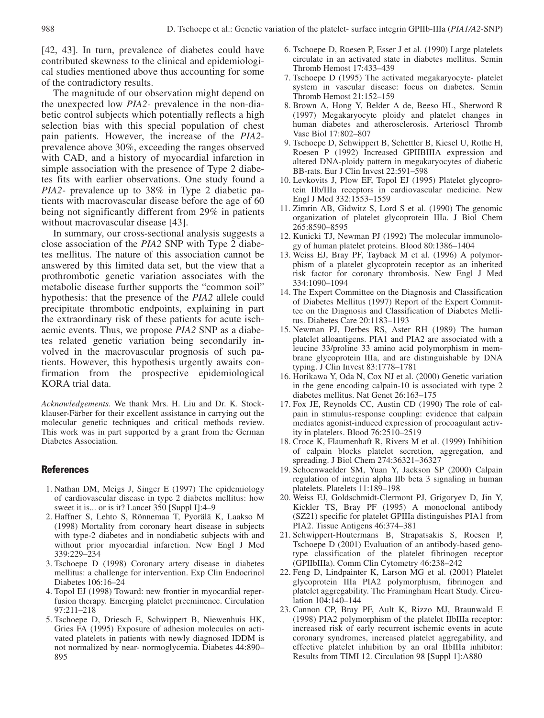[42, 43]. In turn, prevalence of diabetes could have contributed skewness to the clinical and epidemiological studies mentioned above thus accounting for some of the contradictory results.

The magnitude of our observation might depend on the unexpected low *PIA2-* prevalence in the non-diabetic control subjects which potentially reflects a high selection bias with this special population of chest pain patients. However, the increase of the *PIA2* prevalence above 30%, exceeding the ranges observed with CAD, and a history of myocardial infarction in simple association with the presence of Type 2 diabetes fits with earlier observations. One study found a *PIA2*- prevalence up to 38% in Type 2 diabetic patients with macrovascular disease before the age of 60 being not significantly different from 29% in patients without macrovascular disease [43].

In summary, our cross-sectional analysis suggests a close association of the *PIA2* SNP with Type 2 diabetes mellitus. The nature of this association cannot be answered by this limited data set, but the view that a prothrombotic genetic variation associates with the metabolic disease further supports the "common soil" hypothesis: that the presence of the *PIA2* allele could precipitate thrombotic endpoints, explaining in part the extraordinary risk of these patients for acute ischaemic events. Thus, we propose *PIA2* SNP as a diabetes related genetic variation being secondarily involved in the macrovascular prognosis of such patients. However, this hypothesis urgently awaits confirmation from the prospective epidemiological KORA trial data.

*Acknowledgements*. We thank Mrs. H. Liu and Dr. K. Stockklauser-Färber for their excellent assistance in carrying out the molecular genetic techniques and critical methods review. This work was in part supported by a grant from the German Diabetes Association.

## **References**

- 1. Nathan DM, Meigs J, Singer E (1997) The epidemiology of cardiovascular disease in type 2 diabetes mellitus: how sweet it is... or is it? Lancet 350 [Suppl I]:4–9
- 2. Haffner S, Lehto S, Rönnemaa T, Pyorälä K, Laakso M (1998) Mortality from coronary heart disease in subjects with type-2 diabetes and in nondiabetic subjects with and without prior myocardial infarction. New Engl J Med 339:229–234
- 3. Tschoepe D (1998) Coronary artery disease in diabetes mellitus: a challenge for intervention. Exp Clin Endocrinol Diabetes 106:16–24
- 4. Topol EJ (1998) Toward: new frontier in myocardial reperfusion therapy. Emerging platelet preeminence. Circulation 97:211–218
- 5. Tschoepe D, Driesch E, Schwippert B, Niewenhuis HK, Gries FA (1995) Exposure of adhesion molecules on activated platelets in patients with newly diagnosed IDDM is not normalized by near- normoglycemia. Diabetes 44:890– 895
- 6. Tschoepe D, Roesen P, Esser J et al. (1990) Large platelets circulate in an activated state in diabetes mellitus. Semin Thromb Hemost 17:433–439
- 7. Tschoepe D (1995) The activated megakaryocyte- platelet system in vascular disease: focus on diabetes. Semin Thromb Hemost 21:152–159
- 8. Brown A, Hong Y, Belder A de, Beeso HL, Sherword R (1997) Megakaryocyte ploidy and platelet changes in human diabetes and atherosclerosis. Arterioscl Thromb Vasc Biol 17:802–807
- 9. Tschoepe D, Schwippert B, Schettler B, Kiesel U, Rothe H, Roesen P (1992) Increased GPIIBIIIA expression and altered DNA-ploidy pattern in megakaryocytes of diabetic BB-rats. Eur J Clin Invest 22:591–598
- 10. Levkovits J, Plow EF, Topol EJ (1995) Platelet glycoprotein IIb/IIIa receptors in cardiovascular medicine. New Engl J Med 332:1553–1559
- 11. Zimrin AB, Gidwitz S, Lord S et al. (1990) The genomic organization of platelet glycoprotein IIIa. J Biol Chem 265:8590–8595
- 12. Kunicki TJ, Newman PJ (1992) The molecular immunology of human platelet proteins. Blood 80:1386–1404
- 13. Weiss EJ, Bray PF, Tayback M et al. (1996) A polymorphism of a platelet glycoprotein receptor as an inherited risk factor for coronary thrombosis. New Engl J Med 334:1090–1094
- 14. The Expert Committee on the Diagnosis and Classification of Diabetes Mellitus (1997) Report of the Expert Committee on the Diagnosis and Classification of Diabetes Mellitus. Diabetes Care 20:1183–1193
- 15. Newman PJ, Derbes RS, Aster RH (1989) The human platelet alloantigens. PIA1 and PIA2 are associated with a leucine 33/proline 33 amino acid polymorphism in membrane glycoprotein IIIa, and are distinguishable by DNA typing. J Clin Invest 83:1778–1781
- 16. Horikawa Y, Oda N, Cox NJ et al. (2000) Genetic variation in the gene encoding calpain-10 is associated with type 2 diabetes mellitus. Nat Genet 26:163–175
- 17. Fox JE, Reynolds CC, Austin CD (1990) The role of calpain in stimulus-response coupling: evidence that calpain mediates agonist-induced expression of procoagulant activity in platelets. Blood 76:2510–2519
- 18. Croce K, Flaumenhaft R, Rivers M et al. (1999) Inhibition of calpain blocks platelet secretion, aggregation, and spreading. J Biol Chem 274:36321–36327
- 19. Schoenwaelder SM, Yuan Y, Jackson SP (2000) Calpain regulation of integrin alpha IIb beta 3 signaling in human platelets. Platelets 11:189–198
- 20. Weiss EJ, Goldschmidt-Clermont PJ, Grigoryev D, Jin Y, Kickler TS, Bray PF (1995) A monoclonal antibody (SZ21) specific for platelet GPIIIa distinguishes PIA1 from PIA2. Tissue Antigens 46:374–381
- 21. Schwippert-Houtermans B, Strapatsakis S, Roesen P, Tschoepe D (2001) Evaluation of an antibody-based genotype classification of the platelet fibrinogen receptor (GPIIbIIIa). Comm Clin Cytometry 46:238–242
- 22. Feng D, Lindpainter K, Larson MG et al. (2001) Platelet glycoprotein IIIa PIA2 polymorphism, fibrinogen and platelet aggregability. The Framingham Heart Study. Circulation 104:140–144
- 23. Cannon CP, Bray PF, Ault K, Rizzo MJ, Braunwald E (1998) PIA2 polymorphism of the platelet IIbIIIa receptor: increased risk of early recurrent ischemic events in acute coronary syndromes, increased platelet aggregability, and effective platelet inhibition by an oral IIbIIIa inhibitor: Results from TIMI 12. Circulation 98 [Suppl 1]:A880